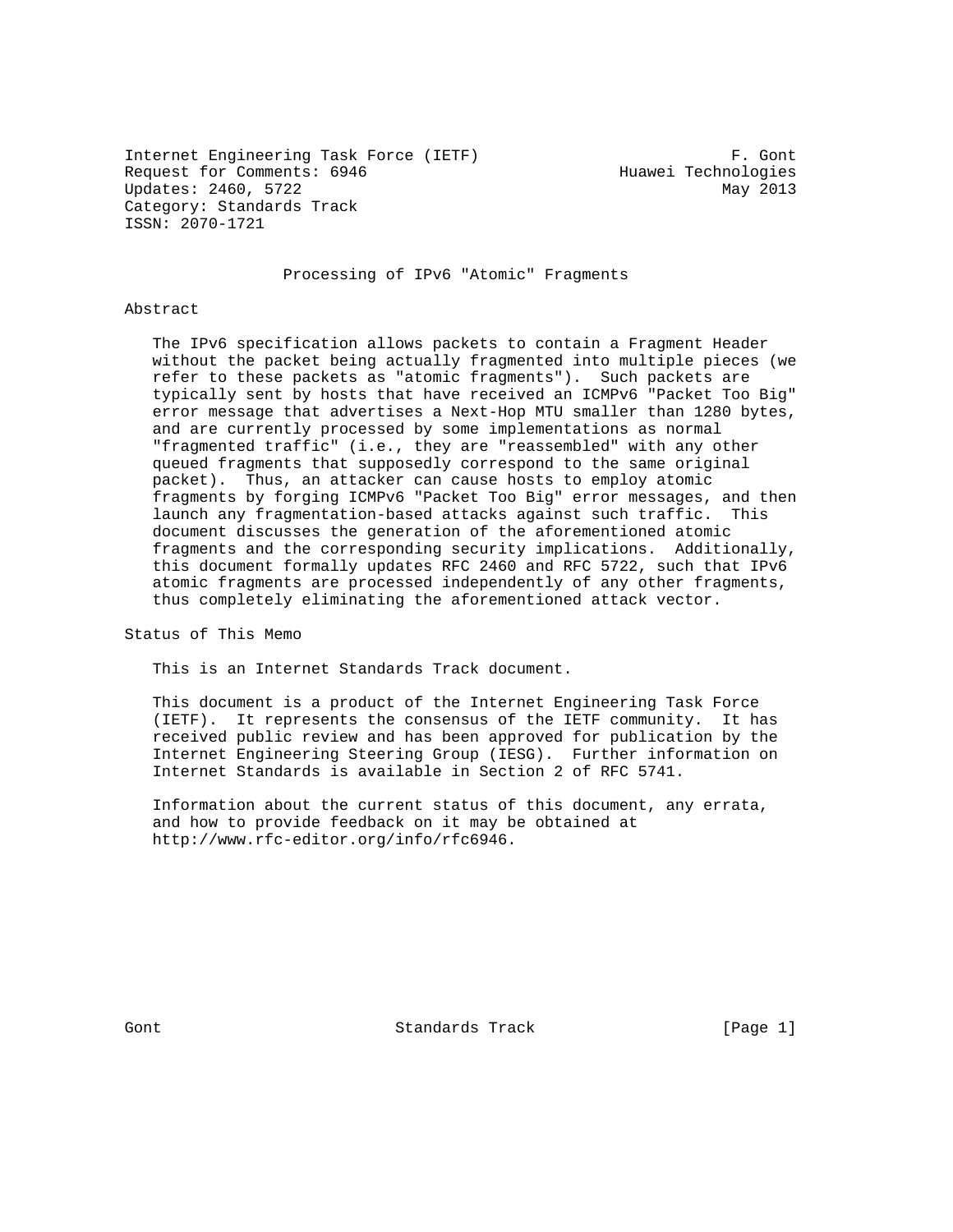Internet Engineering Task Force (IETF) F. Gont Request for Comments: 6946 Huawei Technologies Updates: 2460, 5722 May 2013 Category: Standards Track ISSN: 2070-1721

## Processing of IPv6 "Atomic" Fragments

#### Abstract

 The IPv6 specification allows packets to contain a Fragment Header without the packet being actually fragmented into multiple pieces (we refer to these packets as "atomic fragments"). Such packets are typically sent by hosts that have received an ICMPv6 "Packet Too Big" error message that advertises a Next-Hop MTU smaller than 1280 bytes, and are currently processed by some implementations as normal "fragmented traffic" (i.e., they are "reassembled" with any other queued fragments that supposedly correspond to the same original packet). Thus, an attacker can cause hosts to employ atomic fragments by forging ICMPv6 "Packet Too Big" error messages, and then launch any fragmentation-based attacks against such traffic. This document discusses the generation of the aforementioned atomic fragments and the corresponding security implications. Additionally, this document formally updates RFC 2460 and RFC 5722, such that IPv6 atomic fragments are processed independently of any other fragments, thus completely eliminating the aforementioned attack vector.

Status of This Memo

This is an Internet Standards Track document.

 This document is a product of the Internet Engineering Task Force (IETF). It represents the consensus of the IETF community. It has received public review and has been approved for publication by the Internet Engineering Steering Group (IESG). Further information on Internet Standards is available in Section 2 of RFC 5741.

 Information about the current status of this document, any errata, and how to provide feedback on it may be obtained at http://www.rfc-editor.org/info/rfc6946.

Gont Gont Standards Track (Page 1)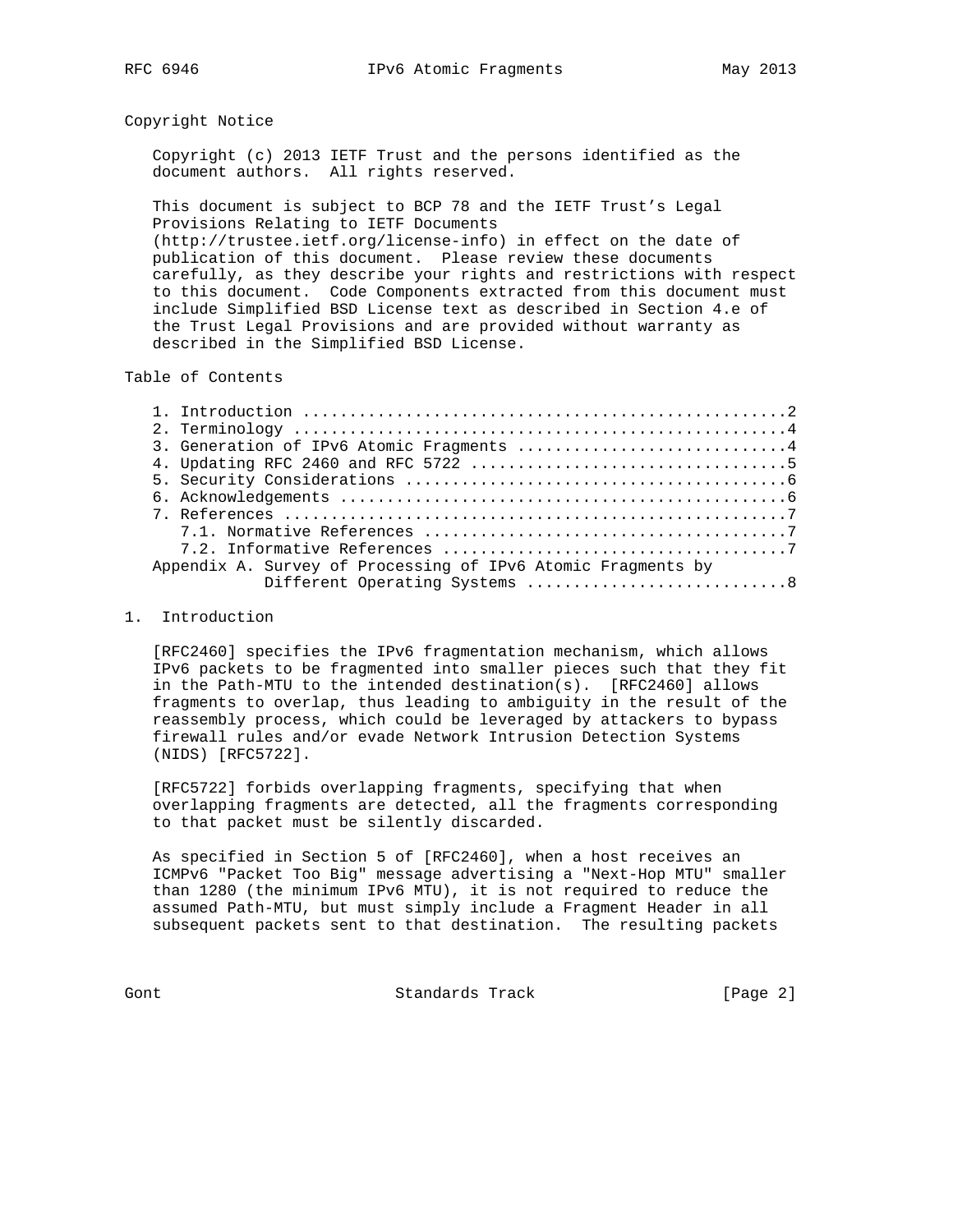### Copyright Notice

 Copyright (c) 2013 IETF Trust and the persons identified as the document authors. All rights reserved.

 This document is subject to BCP 78 and the IETF Trust's Legal Provisions Relating to IETF Documents (http://trustee.ietf.org/license-info) in effect on the date of publication of this document. Please review these documents carefully, as they describe your rights and restrictions with respect to this document. Code Components extracted from this document must include Simplified BSD License text as described in Section 4.e of the Trust Legal Provisions and are provided without warranty as

Table of Contents

described in the Simplified BSD License.

|                                                              | 3. Generation of IPv6 Atomic Fragments 4 |  |  |
|--------------------------------------------------------------|------------------------------------------|--|--|
|                                                              |                                          |  |  |
|                                                              |                                          |  |  |
|                                                              |                                          |  |  |
|                                                              |                                          |  |  |
|                                                              |                                          |  |  |
|                                                              |                                          |  |  |
| Appendix A. Survey of Processing of IPv6 Atomic Fragments by |                                          |  |  |
|                                                              |                                          |  |  |

### 1. Introduction

 [RFC2460] specifies the IPv6 fragmentation mechanism, which allows IPv6 packets to be fragmented into smaller pieces such that they fit in the Path-MTU to the intended destination(s). [RFC2460] allows fragments to overlap, thus leading to ambiguity in the result of the reassembly process, which could be leveraged by attackers to bypass firewall rules and/or evade Network Intrusion Detection Systems (NIDS) [RFC5722].

 [RFC5722] forbids overlapping fragments, specifying that when overlapping fragments are detected, all the fragments corresponding to that packet must be silently discarded.

 As specified in Section 5 of [RFC2460], when a host receives an ICMPv6 "Packet Too Big" message advertising a "Next-Hop MTU" smaller than 1280 (the minimum IPv6 MTU), it is not required to reduce the assumed Path-MTU, but must simply include a Fragment Header in all subsequent packets sent to that destination. The resulting packets

Gont Gont Standards Track (Page 2)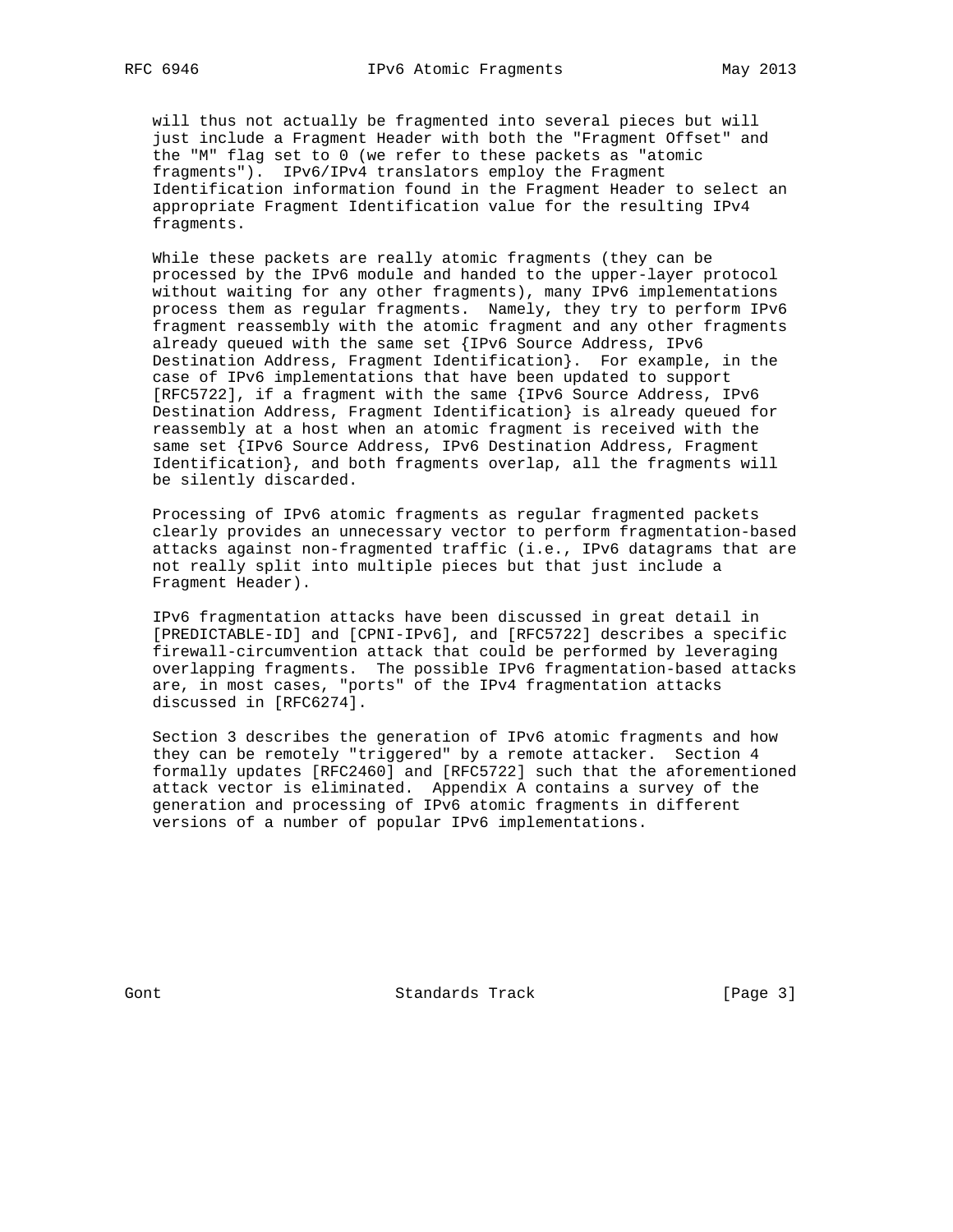will thus not actually be fragmented into several pieces but will just include a Fragment Header with both the "Fragment Offset" and the "M" flag set to 0 (we refer to these packets as "atomic fragments"). IPv6/IPv4 translators employ the Fragment Identification information found in the Fragment Header to select an appropriate Fragment Identification value for the resulting IPv4 fragments.

 While these packets are really atomic fragments (they can be processed by the IPv6 module and handed to the upper-layer protocol without waiting for any other fragments), many IPv6 implementations process them as regular fragments. Namely, they try to perform IPv6 fragment reassembly with the atomic fragment and any other fragments already queued with the same set {IPv6 Source Address, IPv6 Destination Address, Fragment Identification}. For example, in the case of IPv6 implementations that have been updated to support [RFC5722], if a fragment with the same {IPv6 Source Address, IPv6 Destination Address, Fragment Identification} is already queued for reassembly at a host when an atomic fragment is received with the same set {IPv6 Source Address, IPv6 Destination Address, Fragment Identification}, and both fragments overlap, all the fragments will be silently discarded.

 Processing of IPv6 atomic fragments as regular fragmented packets clearly provides an unnecessary vector to perform fragmentation-based attacks against non-fragmented traffic (i.e., IPv6 datagrams that are not really split into multiple pieces but that just include a Fragment Header).

 IPv6 fragmentation attacks have been discussed in great detail in [PREDICTABLE-ID] and [CPNI-IPv6], and [RFC5722] describes a specific firewall-circumvention attack that could be performed by leveraging overlapping fragments. The possible IPv6 fragmentation-based attacks are, in most cases, "ports" of the IPv4 fragmentation attacks discussed in [RFC6274].

 Section 3 describes the generation of IPv6 atomic fragments and how they can be remotely "triggered" by a remote attacker. Section 4 formally updates [RFC2460] and [RFC5722] such that the aforementioned attack vector is eliminated. Appendix A contains a survey of the generation and processing of IPv6 atomic fragments in different versions of a number of popular IPv6 implementations.

Gont 6 Contract Standards Track (Page 3)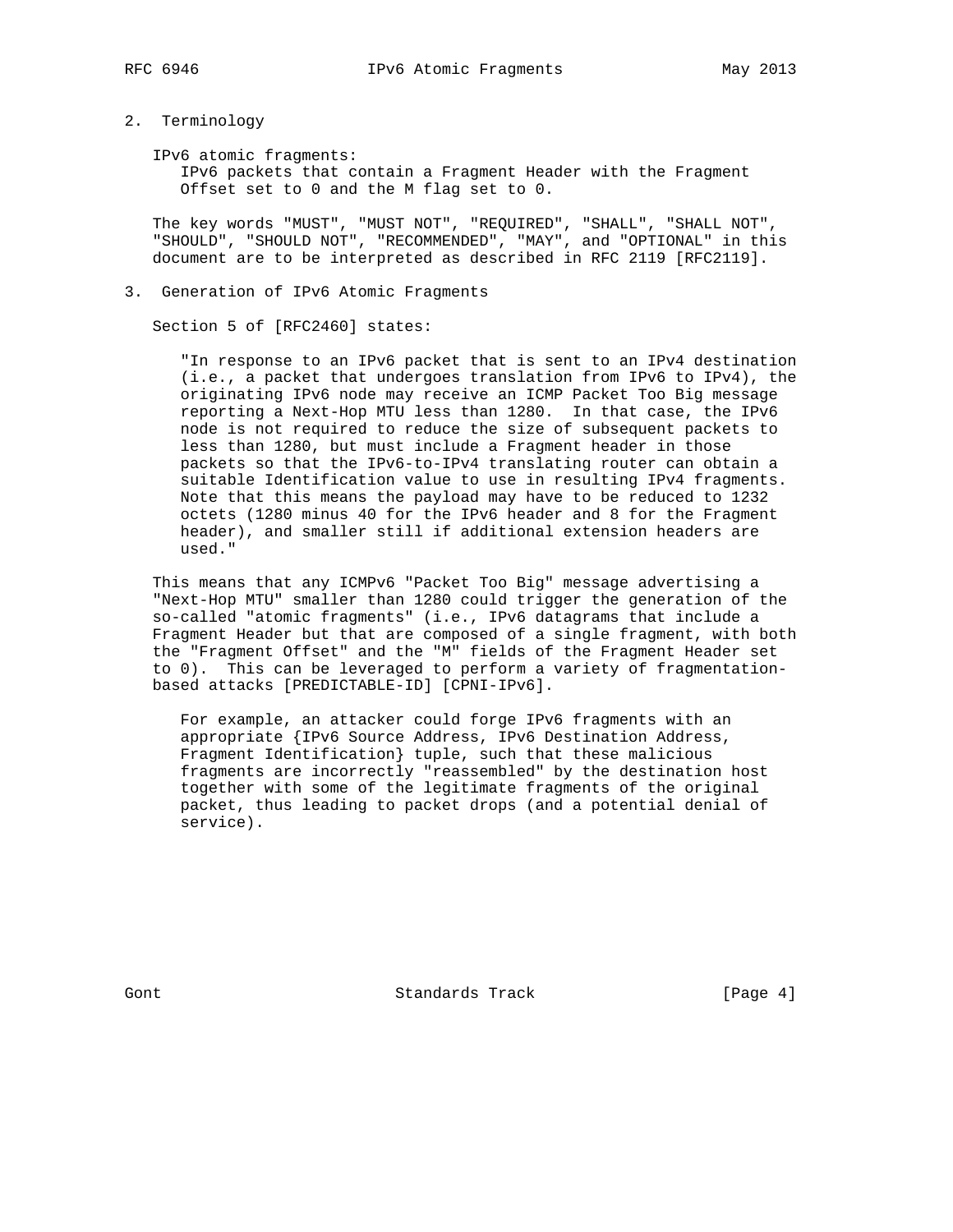- 
- 2. Terminology

IPv6 atomic fragments:

 IPv6 packets that contain a Fragment Header with the Fragment Offset set to 0 and the M flag set to 0.

 The key words "MUST", "MUST NOT", "REQUIRED", "SHALL", "SHALL NOT", "SHOULD", "SHOULD NOT", "RECOMMENDED", "MAY", and "OPTIONAL" in this document are to be interpreted as described in RFC 2119 [RFC2119].

3. Generation of IPv6 Atomic Fragments

Section 5 of [RFC2460] states:

 "In response to an IPv6 packet that is sent to an IPv4 destination (i.e., a packet that undergoes translation from IPv6 to IPv4), the originating IPv6 node may receive an ICMP Packet Too Big message reporting a Next-Hop MTU less than 1280. In that case, the IPv6 node is not required to reduce the size of subsequent packets to less than 1280, but must include a Fragment header in those packets so that the IPv6-to-IPv4 translating router can obtain a suitable Identification value to use in resulting IPv4 fragments. Note that this means the payload may have to be reduced to 1232 octets (1280 minus 40 for the IPv6 header and 8 for the Fragment header), and smaller still if additional extension headers are used."

 This means that any ICMPv6 "Packet Too Big" message advertising a "Next-Hop MTU" smaller than 1280 could trigger the generation of the so-called "atomic fragments" (i.e., IPv6 datagrams that include a Fragment Header but that are composed of a single fragment, with both the "Fragment Offset" and the "M" fields of the Fragment Header set to 0). This can be leveraged to perform a variety of fragmentation based attacks [PREDICTABLE-ID] [CPNI-IPv6].

 For example, an attacker could forge IPv6 fragments with an appropriate {IPv6 Source Address, IPv6 Destination Address, Fragment Identification} tuple, such that these malicious fragments are incorrectly "reassembled" by the destination host together with some of the legitimate fragments of the original packet, thus leading to packet drops (and a potential denial of service).

Gont 6 Contract Standards Track Contract (Page 4)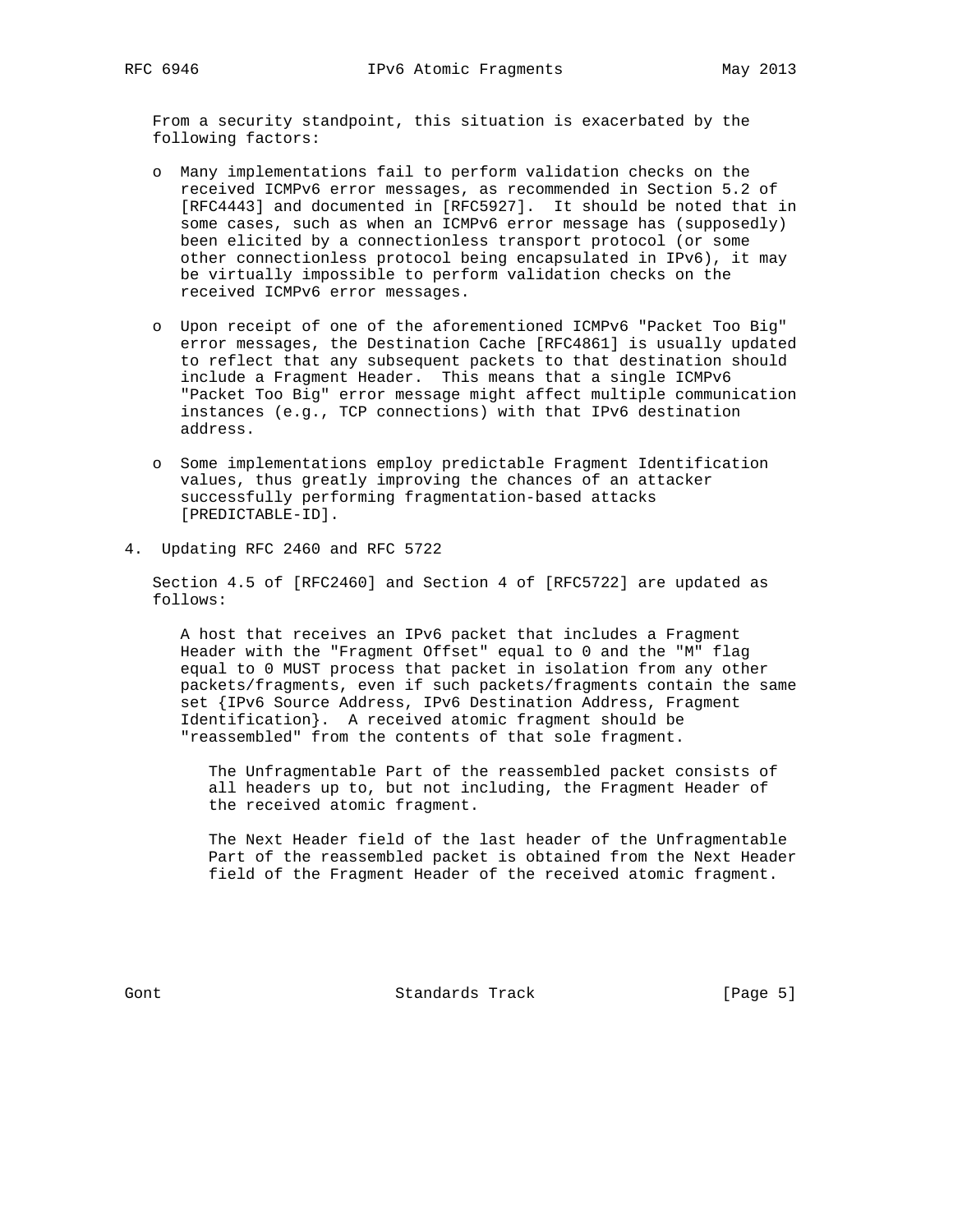From a security standpoint, this situation is exacerbated by the following factors:

- o Many implementations fail to perform validation checks on the received ICMPv6 error messages, as recommended in Section 5.2 of [RFC4443] and documented in [RFC5927]. It should be noted that in some cases, such as when an ICMPv6 error message has (supposedly) been elicited by a connectionless transport protocol (or some other connectionless protocol being encapsulated in IPv6), it may be virtually impossible to perform validation checks on the received ICMPv6 error messages.
- o Upon receipt of one of the aforementioned ICMPv6 "Packet Too Big" error messages, the Destination Cache [RFC4861] is usually updated to reflect that any subsequent packets to that destination should include a Fragment Header. This means that a single ICMPv6 "Packet Too Big" error message might affect multiple communication instances (e.g., TCP connections) with that IPv6 destination address.
- o Some implementations employ predictable Fragment Identification values, thus greatly improving the chances of an attacker successfully performing fragmentation-based attacks [PREDICTABLE-ID].
- 4. Updating RFC 2460 and RFC 5722

 Section 4.5 of [RFC2460] and Section 4 of [RFC5722] are updated as follows:

 A host that receives an IPv6 packet that includes a Fragment Header with the "Fragment Offset" equal to 0 and the "M" flag equal to 0 MUST process that packet in isolation from any other packets/fragments, even if such packets/fragments contain the same set {IPv6 Source Address, IPv6 Destination Address, Fragment Identification}. A received atomic fragment should be "reassembled" from the contents of that sole fragment.

 The Unfragmentable Part of the reassembled packet consists of all headers up to, but not including, the Fragment Header of the received atomic fragment.

 The Next Header field of the last header of the Unfragmentable Part of the reassembled packet is obtained from the Next Header field of the Fragment Header of the received atomic fragment.

Gont Gont Standards Track (Page 5)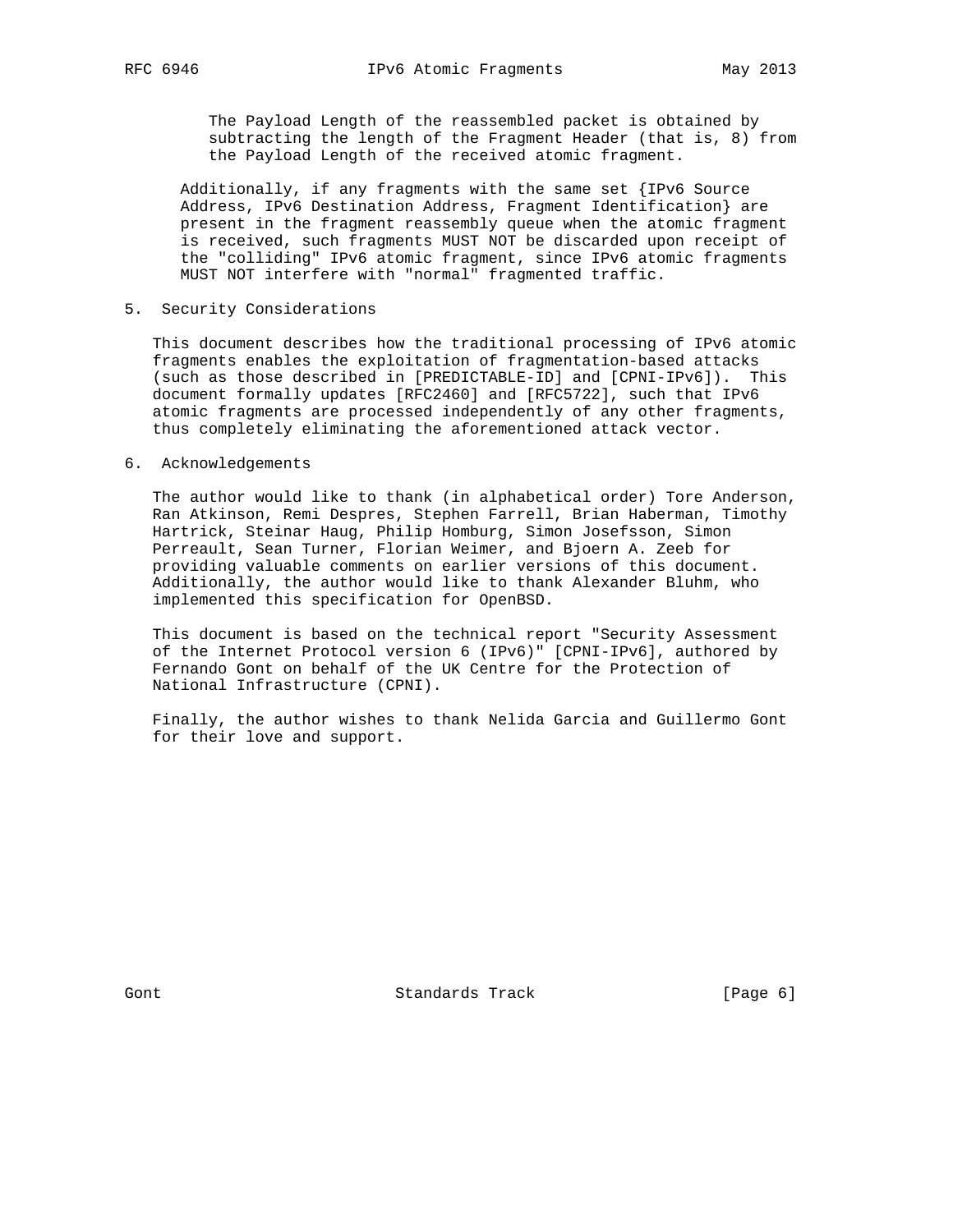The Payload Length of the reassembled packet is obtained by subtracting the length of the Fragment Header (that is, 8) from the Payload Length of the received atomic fragment.

 Additionally, if any fragments with the same set {IPv6 Source Address, IPv6 Destination Address, Fragment Identification} are present in the fragment reassembly queue when the atomic fragment is received, such fragments MUST NOT be discarded upon receipt of the "colliding" IPv6 atomic fragment, since IPv6 atomic fragments MUST NOT interfere with "normal" fragmented traffic.

### 5. Security Considerations

 This document describes how the traditional processing of IPv6 atomic fragments enables the exploitation of fragmentation-based attacks (such as those described in [PREDICTABLE-ID] and [CPNI-IPv6]). This document formally updates [RFC2460] and [RFC5722], such that IPv6 atomic fragments are processed independently of any other fragments, thus completely eliminating the aforementioned attack vector.

#### 6. Acknowledgements

 The author would like to thank (in alphabetical order) Tore Anderson, Ran Atkinson, Remi Despres, Stephen Farrell, Brian Haberman, Timothy Hartrick, Steinar Haug, Philip Homburg, Simon Josefsson, Simon Perreault, Sean Turner, Florian Weimer, and Bjoern A. Zeeb for providing valuable comments on earlier versions of this document. Additionally, the author would like to thank Alexander Bluhm, who implemented this specification for OpenBSD.

 This document is based on the technical report "Security Assessment of the Internet Protocol version 6 (IPv6)" [CPNI-IPv6], authored by Fernando Gont on behalf of the UK Centre for the Protection of National Infrastructure (CPNI).

 Finally, the author wishes to thank Nelida Garcia and Guillermo Gont for their love and support.

Gont Gont Standards Track (Page 6)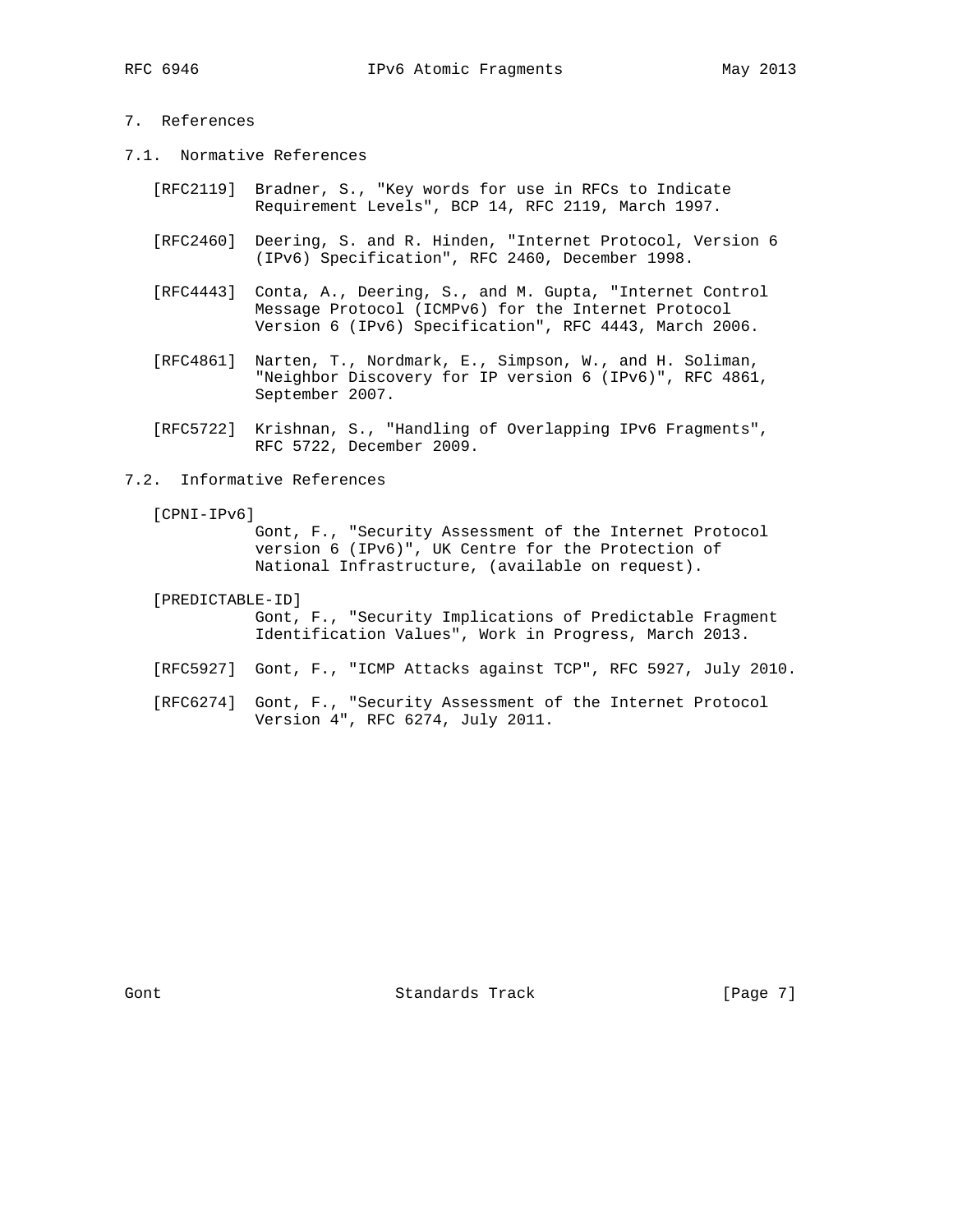# 7. References

- 7.1. Normative References
	- [RFC2119] Bradner, S., "Key words for use in RFCs to Indicate Requirement Levels", BCP 14, RFC 2119, March 1997.
	- [RFC2460] Deering, S. and R. Hinden, "Internet Protocol, Version 6 (IPv6) Specification", RFC 2460, December 1998.
	- [RFC4443] Conta, A., Deering, S., and M. Gupta, "Internet Control Message Protocol (ICMPv6) for the Internet Protocol Version 6 (IPv6) Specification", RFC 4443, March 2006.
	- [RFC4861] Narten, T., Nordmark, E., Simpson, W., and H. Soliman, "Neighbor Discovery for IP version 6 (IPv6)", RFC 4861, September 2007.
	- [RFC5722] Krishnan, S., "Handling of Overlapping IPv6 Fragments", RFC 5722, December 2009.
- 7.2. Informative References
	- [CPNI-IPv6]

 Gont, F., "Security Assessment of the Internet Protocol version 6 (IPv6)", UK Centre for the Protection of National Infrastructure, (available on request).

- [PREDICTABLE-ID] Gont, F., "Security Implications of Predictable Fragment Identification Values", Work in Progress, March 2013.
- [RFC5927] Gont, F., "ICMP Attacks against TCP", RFC 5927, July 2010.
- [RFC6274] Gont, F., "Security Assessment of the Internet Protocol Version 4", RFC 6274, July 2011.

Gont Gont Standards Track [Page 7]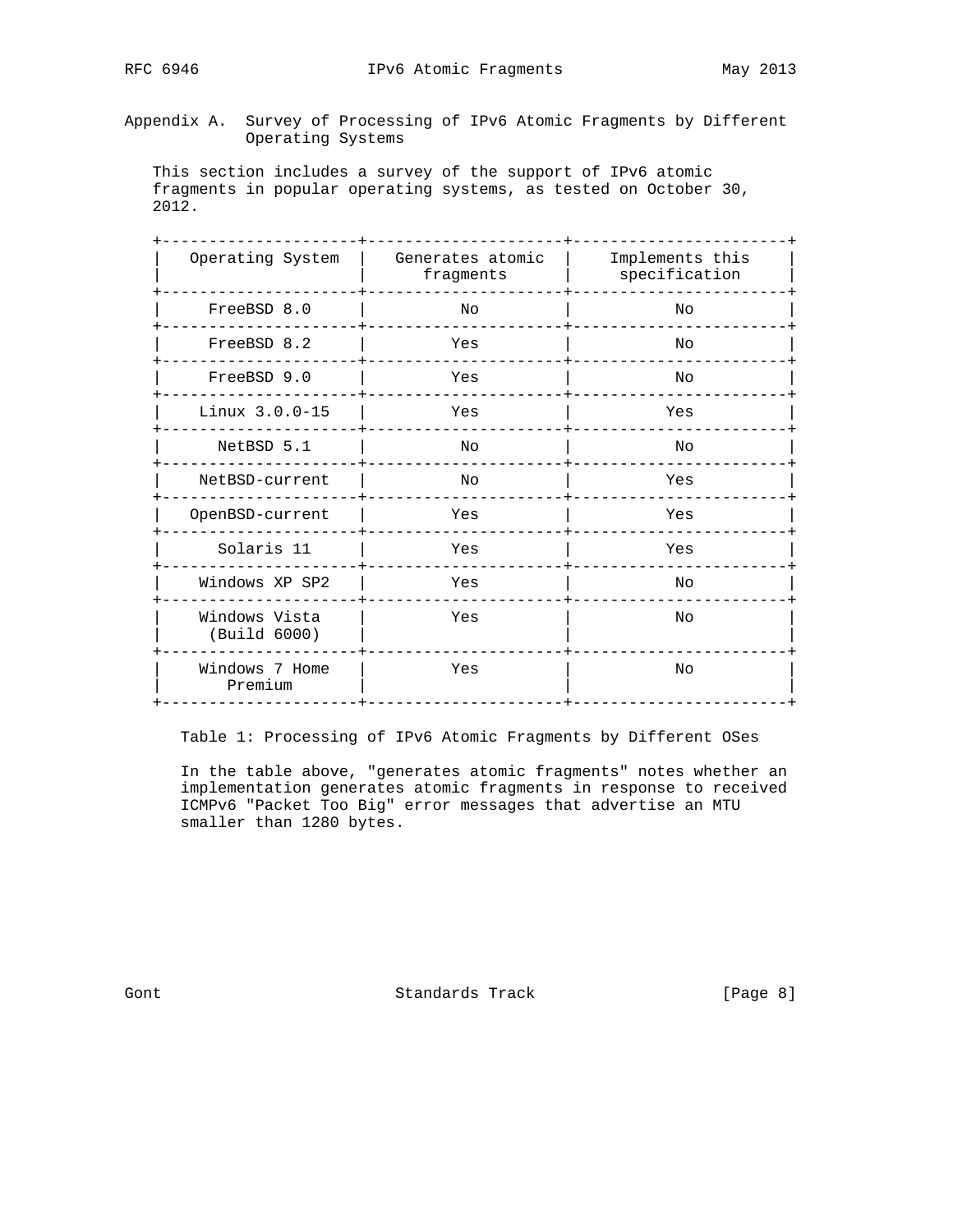Appendix A. Survey of Processing of IPv6 Atomic Fragments by Different Operating Systems

 This section includes a survey of the support of IPv6 atomic fragments in popular operating systems, as tested on October 30, 2012.

| Operating System              | Generates atomic<br>fragments | Implements this<br>specification |
|-------------------------------|-------------------------------|----------------------------------|
| FreeBSD 8.0                   | No                            | No                               |
| FreeBSD 8.2                   | Yes                           | Nο                               |
| FreeBSD 9.0                   | Yes                           | No                               |
| $Linux 3.0.0 - 15$            | Yes                           | Yes                              |
| NetBSD 5.1                    | No                            | Νo                               |
| NetBSD-current                | No                            | Yes                              |
| OpenBSD-current               | Yes                           | Yes                              |
| Solaris 11                    | Yes                           | Yes                              |
| Windows XP SP2                | Yes                           | Νo                               |
| Windows Vista<br>(Build 6000) | Yes                           | No                               |
| Windows 7 Home<br>Premium     | Yes                           | No                               |
|                               |                               |                                  |

Table 1: Processing of IPv6 Atomic Fragments by Different OSes

 In the table above, "generates atomic fragments" notes whether an implementation generates atomic fragments in response to received ICMPv6 "Packet Too Big" error messages that advertise an MTU smaller than 1280 bytes.

Gont Gont Standards Track [Page 8]